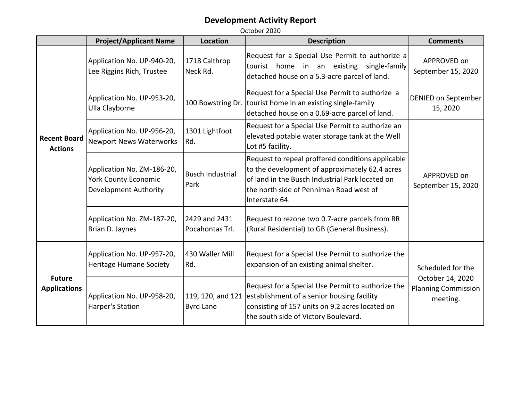|                                       | <b>Project/Applicant Name</b>                                                             | <b>Location</b>                       | <b>Description</b>                                                                                                                                                                                                  | <b>Comments</b>                                                                 |
|---------------------------------------|-------------------------------------------------------------------------------------------|---------------------------------------|---------------------------------------------------------------------------------------------------------------------------------------------------------------------------------------------------------------------|---------------------------------------------------------------------------------|
| <b>Recent Board</b><br><b>Actions</b> | Application No. UP-940-20,<br>Lee Riggins Rich, Trustee                                   | 1718 Calthrop<br>Neck Rd.             | Request for a Special Use Permit to authorize a<br>tourist home in an existing single-family<br>detached house on a 5.3-acre parcel of land.                                                                        | APPROVED on<br>September 15, 2020                                               |
|                                       | Application No. UP-953-20,<br>Ulla Clayborne                                              | 100 Bowstring Dr.                     | Request for a Special Use Permit to authorize a<br>tourist home in an existing single-family<br>detached house on a 0.69-acre parcel of land.                                                                       | <b>DENIED on September</b><br>15, 2020                                          |
|                                       | Application No. UP-956-20,<br><b>Newport News Waterworks</b>                              | 1301 Lightfoot<br>Rd.                 | Request for a Special Use Permit to authorize an<br>elevated potable water storage tank at the Well<br>Lot #5 facility.                                                                                             |                                                                                 |
|                                       | Application No. ZM-186-20,<br><b>York County Economic</b><br><b>Development Authority</b> | <b>Busch Industrial</b><br>Park       | Request to repeal proffered conditions applicable<br>to the development of approximately 62.4 acres<br>of land in the Busch Industrial Park located on<br>the north side of Penniman Road west of<br>Interstate 64. | APPROVED on<br>September 15, 2020                                               |
|                                       | Application No. ZM-187-20,<br>Brian D. Jaynes                                             | 2429 and 2431<br>Pocahontas Trl.      | Request to rezone two 0.7-acre parcels from RR<br>(Rural Residential) to GB (General Business).                                                                                                                     |                                                                                 |
| <b>Future</b><br><b>Applications</b>  | Application No. UP-957-20,<br><b>Heritage Humane Society</b>                              | 430 Waller Mill<br>Rd.                | Request for a Special Use Permit to authorize the<br>expansion of an existing animal shelter.                                                                                                                       | Scheduled for the<br>October 14, 2020<br><b>Planning Commission</b><br>meeting. |
|                                       | Application No. UP-958-20,<br>Harper's Station                                            | 119, 120, and 121<br><b>Byrd Lane</b> | Request for a Special Use Permit to authorize the<br>establishment of a senior housing facility<br>consisting of 157 units on 9.2 acres located on<br>the south side of Victory Boulevard.                          |                                                                                 |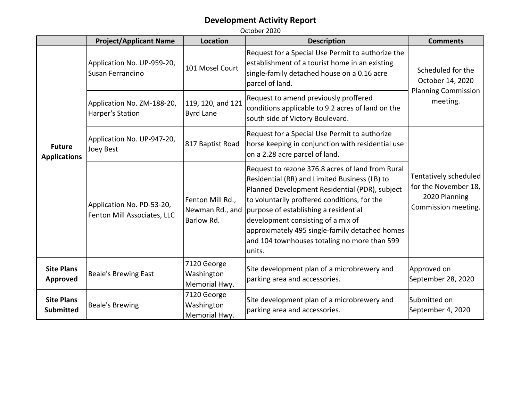|                                       | <b>Project/Applicant Name</b>                            | <b>Location</b>                                   | <b>Description</b>                                                                                                                                                                                                                                                                                                                                                                             | <b>Comments</b>                                                                       |
|---------------------------------------|----------------------------------------------------------|---------------------------------------------------|------------------------------------------------------------------------------------------------------------------------------------------------------------------------------------------------------------------------------------------------------------------------------------------------------------------------------------------------------------------------------------------------|---------------------------------------------------------------------------------------|
|                                       | Application No. UP-959-20,<br>Susan Ferrandino           | 101 Mosel Court                                   | Request for a Special Use Permit to authorize the<br>establishment of a tourist home in an existing<br>single-family detached house on a 0.16 acre<br>parcel of land.                                                                                                                                                                                                                          | Scheduled for the<br>October 14, 2020<br><b>Planning Commission</b><br>meeting.       |
|                                       | Application No. ZM-188-20,<br><b>Harper's Station</b>    | 119, 120, and 121<br>Byrd Lane                    | Request to amend previously proffered<br>conditions applicable to 9.2 acres of land on the<br>south side of Victory Boulevard.                                                                                                                                                                                                                                                                 |                                                                                       |
| <b>Future</b><br><b>Applications</b>  | Application No. UP-947-20,<br><b>Joey Best</b>           | 817 Baptist Road                                  | Request for a Special Use Permit to authorize<br>horse keeping in conjunction with residential use<br>on a 2.28 acre parcel of land.                                                                                                                                                                                                                                                           |                                                                                       |
|                                       | Application No. PD-53-20,<br>Fenton Mill Associates, LLC | Fenton Mill Rd.,<br>Newman Rd., and<br>Barlow Rd. | Request to rezone 376.8 acres of land from Rural<br>Residential (RR) and Limited Business (LB) to<br>Planned Development Residential (PDR), subject<br>to voluntarily proffered conditions, for the<br>purpose of establishing a residential<br>development consisting of a mix of<br>approximately 495 single-family detached homes<br>and 104 townhouses totaling no more than 599<br>units. | Tentatively scheduled<br>for the November 18,<br>2020 Planning<br>Commission meeting. |
| <b>Site Plans</b><br><b>Approved</b>  | <b>Beale's Brewing East</b>                              | 7120 George<br>Washington<br>Memorial Hwy.        | Site development plan of a microbrewery and<br>parking area and accessories.                                                                                                                                                                                                                                                                                                                   | Approved on<br>September 28, 2020                                                     |
| <b>Site Plans</b><br><b>Submitted</b> | <b>Beale's Brewing</b>                                   | 7120 George<br>Washington<br>Memorial Hwy.        | Site development plan of a microbrewery and<br>parking area and accessories.                                                                                                                                                                                                                                                                                                                   | Submitted on<br>September 4, 2020                                                     |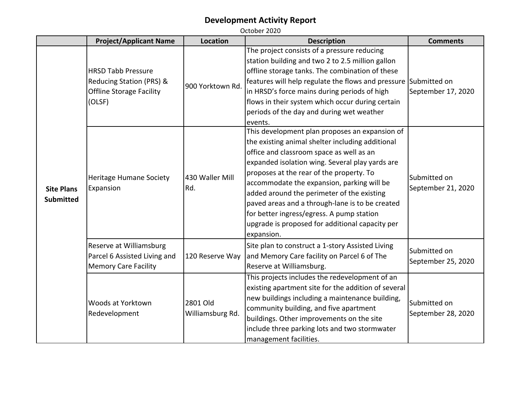|                                       | <b>Project/Applicant Name</b>                                                                      | <b>Location</b>                                                                                                                                                                                                                                                                                                                                                                                                                                                                                            | <b>Description</b>                                                                                                                                                                                                                                                                                                                                                                | <b>Comments</b>                    |
|---------------------------------------|----------------------------------------------------------------------------------------------------|------------------------------------------------------------------------------------------------------------------------------------------------------------------------------------------------------------------------------------------------------------------------------------------------------------------------------------------------------------------------------------------------------------------------------------------------------------------------------------------------------------|-----------------------------------------------------------------------------------------------------------------------------------------------------------------------------------------------------------------------------------------------------------------------------------------------------------------------------------------------------------------------------------|------------------------------------|
|                                       | <b>HRSD Tabb Pressure</b><br>Reducing Station (PRS) &<br><b>Offline Storage Facility</b><br>(OLSF) | 900 Yorktown Rd.                                                                                                                                                                                                                                                                                                                                                                                                                                                                                           | The project consists of a pressure reducing<br>station building and two 2 to 2.5 million gallon<br>offline storage tanks. The combination of these<br>features will help regulate the flows and pressure Submitted on<br>in HRSD's force mains during periods of high<br>flows in their system which occur during certain<br>periods of the day and during wet weather<br>events. | September 17, 2020                 |
| <b>Site Plans</b><br><b>Submitted</b> | 430 Waller Mill<br>Heritage Humane Society<br>Rd.<br>Expansion                                     | This development plan proposes an expansion of<br>the existing animal shelter including additional<br>office and classroom space as well as an<br>expanded isolation wing. Several play yards are<br>proposes at the rear of the property. To<br>accommodate the expansion, parking will be<br>added around the perimeter of the existing<br>paved areas and a through-lane is to be created<br>for better ingress/egress. A pump station<br>upgrade is proposed for additional capacity per<br>expansion. | Submitted on<br>September 21, 2020                                                                                                                                                                                                                                                                                                                                                |                                    |
|                                       | Reserve at Williamsburg<br>Parcel 6 Assisted Living and<br><b>Memory Care Facility</b>             | 120 Reserve Way                                                                                                                                                                                                                                                                                                                                                                                                                                                                                            | Site plan to construct a 1-story Assisted Living<br>and Memory Care facility on Parcel 6 of The<br>Reserve at Williamsburg.                                                                                                                                                                                                                                                       | Submitted on<br>September 25, 2020 |
|                                       | Woods at Yorktown<br>Redevelopment                                                                 | 2801 Old<br>Williamsburg Rd.                                                                                                                                                                                                                                                                                                                                                                                                                                                                               | This projects includes the redevelopment of an<br>existing apartment site for the addition of several<br>new buildings including a maintenance building,<br>community building, and five apartment<br>buildings. Other improvements on the site<br>include three parking lots and two stormwater<br>management facilities.                                                        | Submitted on<br>September 28, 2020 |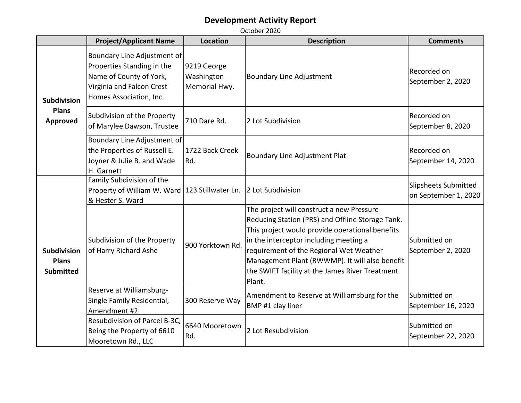|                                                        | <b>Project/Applicant Name</b>                                                                                                                | <b>Location</b>                            | <b>Description</b>                                                                                                                                                                                                                                                                                                                                   | <b>Comments</b>                              |
|--------------------------------------------------------|----------------------------------------------------------------------------------------------------------------------------------------------|--------------------------------------------|------------------------------------------------------------------------------------------------------------------------------------------------------------------------------------------------------------------------------------------------------------------------------------------------------------------------------------------------------|----------------------------------------------|
| <b>Subdivision</b><br><b>Plans</b><br><b>Approved</b>  | Boundary Line Adjustment of<br>Properties Standing in the<br>Name of County of York,<br>Virginia and Falcon Crest<br>Homes Association, Inc. | 9219 George<br>Washington<br>Memorial Hwy. | <b>Boundary Line Adjustment</b>                                                                                                                                                                                                                                                                                                                      | Recorded on<br>September 2, 2020             |
|                                                        | Subdivision of the Property<br>of Marylee Dawson, Trustee                                                                                    | 710 Dare Rd.                               | 2 Lot Subdivision                                                                                                                                                                                                                                                                                                                                    | Recorded on<br>September 8, 2020             |
|                                                        | Boundary Line Adjustment of<br>the Properties of Russell E.<br>Joyner & Julie B. and Wade<br>H. Garnett                                      | 1722 Back Creek<br>Rd.                     | Boundary Line Adjustment Plat                                                                                                                                                                                                                                                                                                                        | Recorded on<br>September 14, 2020            |
| <b>Subdivision</b><br><b>Plans</b><br><b>Submitted</b> | Family Subdivision of the<br>Property of William W. Ward<br>& Hester S. Ward                                                                 | 123 Stillwater Ln.                         | 2 Lot Subdivision                                                                                                                                                                                                                                                                                                                                    | Slipsheets Submitted<br>on September 1, 2020 |
|                                                        | Subdivision of the Property<br>of Harry Richard Ashe                                                                                         | 900 Yorktown Rd                            | The project will construct a new Pressure<br>Reducing Station (PRS) and Offline Storage Tank.<br>This project would provide operational benefits<br>in the interceptor including meeting a<br>requirement of the Regional Wet Weather<br>Management Plant (RWWMP). It will also benefit<br>the SWIFT facility at the James River Treatment<br>Plant. | Submitted on<br>September 2, 2020            |
|                                                        | Reserve at Williamsburg-<br>Single Family Residential,<br>Amendment #2                                                                       | 300 Reserve Way                            | Amendment to Reserve at Williamsburg for the<br>BMP #1 clay liner                                                                                                                                                                                                                                                                                    | Submitted on<br>September 16, 2020           |
|                                                        | Resubdivision of Parcel B-3C,<br>Being the Property of 6610<br>Mooretown Rd., LLC                                                            | 6640 Mooretown<br>Rd.                      | 2 Lot Resubdivision                                                                                                                                                                                                                                                                                                                                  | Submitted on<br>September 22, 2020           |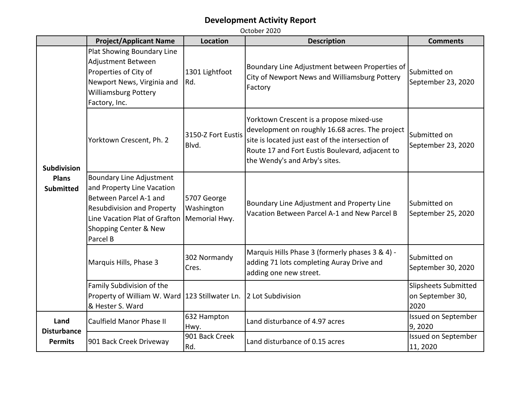|                                                                                                        | <b>Project/Applicant Name</b>                                                                                                                                                                      | <b>Location</b>                            | <b>Description</b>                                                                                                                                                                                                                  | <b>Comments</b>                                         |
|--------------------------------------------------------------------------------------------------------|----------------------------------------------------------------------------------------------------------------------------------------------------------------------------------------------------|--------------------------------------------|-------------------------------------------------------------------------------------------------------------------------------------------------------------------------------------------------------------------------------------|---------------------------------------------------------|
| <b>Subdivision</b><br><b>Plans</b><br><b>Submitted</b><br>Land<br><b>Disturbance</b><br><b>Permits</b> | Plat Showing Boundary Line<br>Adjustment Between<br>Properties of City of<br>Newport News, Virginia and<br><b>Williamsburg Pottery</b><br>Factory, Inc.                                            | 1301 Lightfoot<br>Rd.                      | Boundary Line Adjustment between Properties of<br>City of Newport News and Williamsburg Pottery<br>Factory                                                                                                                          | Submitted on<br>September 23, 2020                      |
|                                                                                                        | Yorktown Crescent, Ph. 2                                                                                                                                                                           | 3150-Z Fort Eustis<br>Blvd.                | Yorktown Crescent is a propose mixed-use<br>development on roughly 16.68 acres. The project<br>site is located just east of the intersection of<br>Route 17 and Fort Eustis Boulevard, adjacent to<br>the Wendy's and Arby's sites. | lSubmitted on<br>September 23, 2020                     |
|                                                                                                        | <b>Boundary Line Adjustment</b><br>and Property Line Vacation<br>Between Parcel A-1 and<br><b>Resubdivision and Property</b><br>Line Vacation Plat of Grafton<br>Shopping Center & New<br>Parcel B | 5707 George<br>Washington<br>Memorial Hwy. | Boundary Line Adjustment and Property Line<br>Vacation Between Parcel A-1 and New Parcel B                                                                                                                                          | lSubmitted on<br>September 25, 2020                     |
|                                                                                                        | Marquis Hills, Phase 3                                                                                                                                                                             | 302 Normandy<br>Cres.                      | Marquis Hills Phase 3 (formerly phases 3 & 4) -<br>adding 71 lots completing Auray Drive and<br>adding one new street.                                                                                                              | Submitted on<br>September 30, 2020                      |
|                                                                                                        | Family Subdivision of the<br>Property of William W. Ward   123 Stillwater Ln.<br>& Hester S. Ward                                                                                                  |                                            | 2 Lot Subdivision                                                                                                                                                                                                                   | <b>Slipsheets Submitted</b><br>on September 30,<br>2020 |
|                                                                                                        | Caulfield Manor Phase II                                                                                                                                                                           | 632 Hampton<br>Hwy.                        | Land disturbance of 4.97 acres                                                                                                                                                                                                      | Issued on September<br>9,2020                           |
|                                                                                                        | 901 Back Creek Driveway                                                                                                                                                                            | 901 Back Creek<br>Rd.                      | Land disturbance of 0.15 acres                                                                                                                                                                                                      | Issued on September<br>11, 2020                         |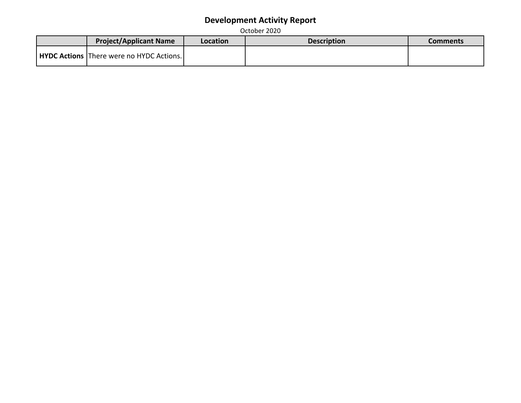| <b>Project/Applicant Name</b>                   | Location | <b>Description</b> | Comments |
|-------------------------------------------------|----------|--------------------|----------|
| <b>HYDC Actions</b> There were no HYDC Actions. |          |                    |          |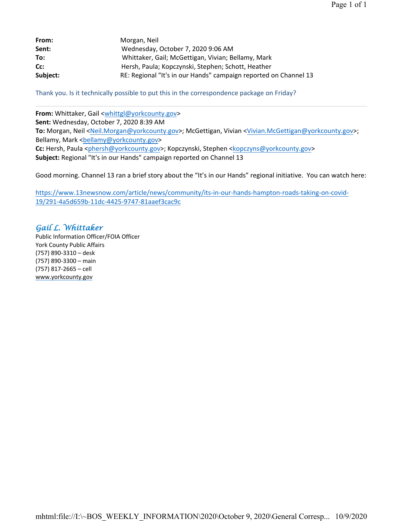| From:    | Morgan, Neil                                                     |
|----------|------------------------------------------------------------------|
| Sent:    | Wednesday, October 7, 2020 9:06 AM                               |
| To:      | Whittaker, Gail; McGettigan, Vivian; Bellamy, Mark               |
| Cc:      | Hersh, Paula; Kopczynski, Stephen; Schott, Heather               |
| Subject: | RE: Regional "It's in our Hands" campaign reported on Channel 13 |

Thank you. Is it technically possible to put this in the correspondence package on Friday?

**From:** Whittaker, Gail <whittgl@yorkcounty.gov> **Sent:** Wednesday, October 7, 2020 8:39 AM **To:** Morgan, Neil <Neil.Morgan@yorkcounty.gov>; McGettigan, Vivian <Vivian.McGettigan@yorkcounty.gov>; Bellamy, Mark <bellamy@yorkcounty.gov> **Cc:** Hersh, Paula <phersh@yorkcounty.gov>; Kopczynski, Stephen <kopczyns@yorkcounty.gov> **Subject:** Regional "It's in our Hands" campaign reported on Channel 13

Good morning. Channel 13 ran a brief story about the "It's in our Hands" regional initiative. You can watch here:

https://www.13newsnow.com/article/news/community/its-in-our-hands-hampton-roads-taking-on-covid-19/291-4a5d659b-11dc-4425-9747-81aaef3cac9c

#### *Gail L. Whittaker*

Public Information Officer/FOIA Officer York County Public Affairs (757) 890-3310 – desk (757) 890-3300 – main (757) 817-2665 – cell www.yorkcounty.gov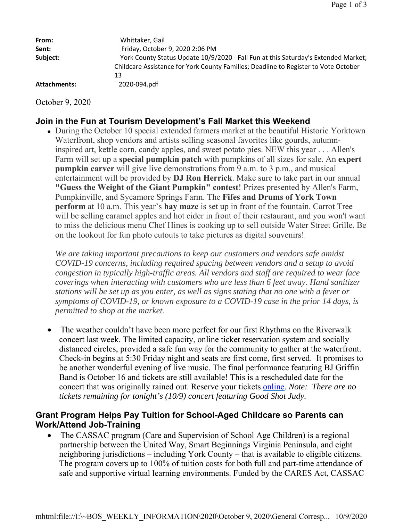| From:        | Whittaker, Gail                                                                                                                                                                 |
|--------------|---------------------------------------------------------------------------------------------------------------------------------------------------------------------------------|
| Sent:        | Friday, October 9, 2020 2:06 PM                                                                                                                                                 |
| Subject:     | York County Status Update 10/9/2020 - Fall Fun at this Saturday's Extended Market;<br>Childcare Assistance for York County Families; Deadline to Register to Vote October<br>13 |
| Attachments: | 2020-094.pdf                                                                                                                                                                    |

October 9, 2020

#### **Join in the Fun at Tourism Development's Fall Market this Weekend**

 During the October 10 special extended farmers market at the beautiful Historic Yorktown Waterfront, shop vendors and artists selling seasonal favorites like gourds, autumninspired art, kettle corn, candy apples, and sweet potato pies. NEW this year . . . Allen's Farm will set up a **special pumpkin patch** with pumpkins of all sizes for sale. An **expert pumpkin carver** will give live demonstrations from 9 a.m. to 3 p.m., and musical entertainment will be provided by **DJ Ron Herrick**. Make sure to take part in our annual **"Guess the Weight of the Giant Pumpkin" contest**! Prizes presented by Allen's Farm, Pumpkinville, and Sycamore Springs Farm. The **Fifes and Drums of York Town perform** at 10 a.m. This year's **hay maze** is set up in front of the fountain. Carrot Tree will be selling caramel apples and hot cider in front of their restaurant, and you won't want to miss the delicious menu Chef Hines is cooking up to sell outside Water Street Grille. Be on the lookout for fun photo cutouts to take pictures as digital souvenirs!

*We are taking important precautions to keep our customers and vendors safe amidst COVID-19 concerns, including required spacing between vendors and a setup to avoid congestion in typically high-traffic areas. All vendors and staff are required to wear face coverings when interacting with customers who are less than 6 feet away. Hand sanitizer stations will be set up as you enter, as well as signs stating that no one with a fever or symptoms of COVID-19, or known exposure to a COVID-19 case in the prior 14 days, is permitted to shop at the market.*

• The weather couldn't have been more perfect for our first Rhythms on the Riverwalk concert last week. The limited capacity, online ticket reservation system and socially distanced circles, provided a safe fun way for the community to gather at the waterfront. Check-in begins at 5:30 Friday night and seats are first come, first served. It promises to be another wonderful evening of live music. The final performance featuring BJ Griffin Band is October 16 and tickets are still available! This is a rescheduled date for the concert that was originally rained out. Reserve your tickets online. *Note: There are no tickets remaining for tonight's (10/9) concert featuring Good Shot Judy.*

#### **Grant Program Helps Pay Tuition for School-Aged Childcare so Parents can Work/Attend Job-Training**

 The CASSAC program (Care and Supervision of School Age Children) is a regional partnership between the United Way, Smart Beginnings Virginia Peninsula, and eight neighboring jurisdictions – including York County – that is available to eligible citizens. The program covers up to 100% of tuition costs for both full and part-time attendance of safe and supportive virtual learning environments. Funded by the CARES Act, CASSAC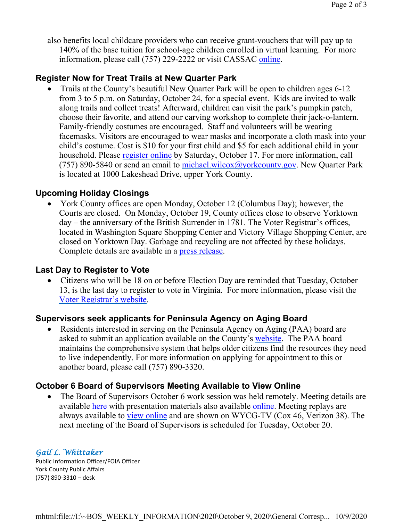also benefits local childcare providers who can receive grant-vouchers that will pay up to 140% of the base tuition for school-age children enrolled in virtual learning. For more information, please call (757) 229-2222 or visit CASSAC online.

#### **Register Now for Treat Trails at New Quarter Park**

 Trails at the County's beautiful New Quarter Park will be open to children ages 6-12 from 3 to 5 p.m. on Saturday, October 24, for a special event. Kids are invited to walk along trails and collect treats! Afterward, children can visit the park's pumpkin patch, choose their favorite, and attend our carving workshop to complete their jack-o-lantern. Family-friendly costumes are encouraged. Staff and volunteers will be wearing facemasks. Visitors are encouraged to wear masks and incorporate a cloth mask into your child's costume. Cost is \$10 for your first child and \$5 for each additional child in your household. Please register online by Saturday, October 17. For more information, call (757) 890-5840 or send an email to michael.wilcox@yorkcounty.gov. New Quarter Park is located at 1000 Lakeshead Drive, upper York County.

#### **Upcoming Holiday Closings**

 York County offices are open Monday, October 12 (Columbus Day); however, the Courts are closed. On Monday, October 19, County offices close to observe Yorktown day – the anniversary of the British Surrender in 1781. The Voter Registrar's offices, located in Washington Square Shopping Center and Victory Village Shopping Center, are closed on Yorktown Day. Garbage and recycling are not affected by these holidays. Complete details are available in a press release.

#### **Last Day to Register to Vote**

• Citizens who will be 18 on or before Election Day are reminded that Tuesday, October 13, is the last day to register to vote in Virginia. For more information, please visit the Voter Registrar's website.

#### **Supervisors seek applicants for Peninsula Agency on Aging Board**

 Residents interested in serving on the Peninsula Agency on Aging (PAA) board are asked to submit an application available on the County's website. The PAA board maintains the comprehensive system that helps older citizens find the resources they need to live independently. For more information on applying for appointment to this or another board, please call (757) 890-3320.

#### **October 6 Board of Supervisors Meeting Available to View Online**

• The Board of Supervisors October 6 work session was held remotely. Meeting details are available here with presentation materials also available online. Meeting replays are always available to *view online* and are shown on WYCG-TV (Cox 46, Verizon 38). The next meeting of the Board of Supervisors is scheduled for Tuesday, October 20.

#### *Gail L. Whittaker*

Public Information Officer/FOIA Officer York County Public Affairs (757) 890-3310 – desk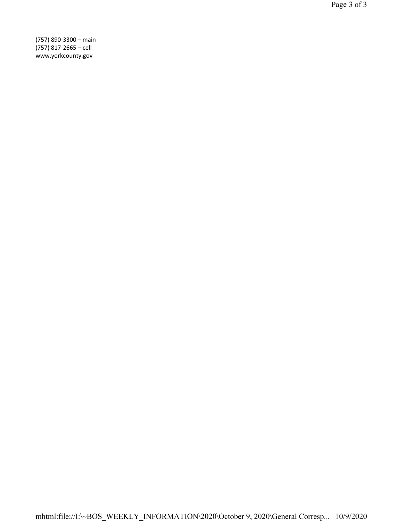(757) 890-3300 – main (757) 817-2665 – cell www.yorkcounty.gov